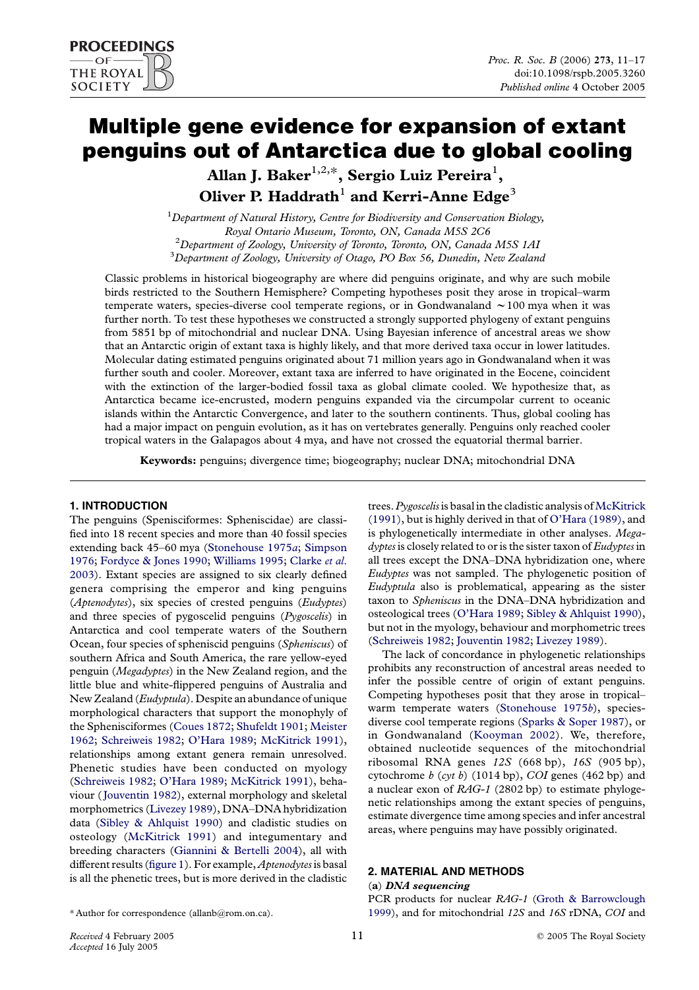# Multiple gene evidence for expansion of extant penguins out of Antarctica due to global cooling

Allan J. Baker $^{1,2,\ast},$  Sergio Luiz Pereira $^1,$ Oliver P. Haddrath<sup>1</sup> and Kerri-Anne Edge<sup>3</sup>

 ${}^{1}$ Department of Natural History, Centre for Biodiversity and Conservation Biology, Royal Ontario Museum, Toronto, ON, Canada M5S 2C6  ${}^{2}$ Department of Zoology, University of Toronto, Toronto, ON, Canada M5S 1AI  $3$ Department of Zoology, University of Otago, PO Box 56, Dunedin, New Zealand

Classic problems in historical biogeography are where did penguins originate, and why are such mobile birds restricted to the Southern Hemisphere? Competing hypotheses posit they arose in tropical–warm temperate waters, species-diverse cool temperate regions, or in Gondwanaland  $\sim$  100 mya when it was further north. To test these hypotheses we constructed a strongly supported phylogeny of extant penguins from 5851 bp of mitochondrial and nuclear DNA. Using Bayesian inference of ancestral areas we show that an Antarctic origin of extant taxa is highly likely, and that more derived taxa occur in lower latitudes. Molecular dating estimated penguins originated about 71 million years ago in Gondwanaland when it was further south and cooler. Moreover, extant taxa are inferred to have originated in the Eocene, coincident with the extinction of the larger-bodied fossil taxa as global climate cooled. We hypothesize that, as Antarctica became ice-encrusted, modern penguins expanded via the circumpolar current to oceanic islands within the Antarctic Convergence, and later to the southern continents. Thus, global cooling has had a major impact on penguin evolution, as it has on vertebrates generally. Penguins only reached cooler tropical waters in the Galapagos about 4 mya, and have not crossed the equatorial thermal barrier.

Keywords: penguins; divergence time; biogeography; nuclear DNA; mitochondrial DNA

# 1. INTRODUCTION

The penguins (Spenisciformes: Spheniscidae) are classified into 18 recent species and more than 40 fossil species extending back 45–60 mya ([Stonehouse 1975](#page-6-0)a; [Simpson](#page-6-0) [1976](#page-6-0); [Fordyce & Jones 1990](#page-5-0); [Williams 1995](#page-6-0); [Clarke](#page-5-0) et al. [2003](#page-5-0)). Extant species are assigned to six clearly defined genera comprising the emperor and king penguins (Aptenodytes), six species of crested penguins (Eudyptes) and three species of pygoscelid penguins (Pygoscelis) in Antarctica and cool temperate waters of the Southern Ocean, four species of spheniscid penguins (Spheniscus) of southern Africa and South America, the rare yellow-eyed penguin (Megadyptes) in the New Zealand region, and the little blue and white-flippered penguins of Australia and New Zealand (Eudyptula). Despite an abundance of unique morphological characters that support the monophyly of the Sphenisciformes ([Coues 1872;](#page-5-0) [Shufeldt 1901](#page-5-0); [Meister](#page-5-0) [1962](#page-5-0); [Schreiweis 1982](#page-5-0); [O'Hara 1989;](#page-5-0) [McKitrick 1991\)](#page-5-0), relationships among extant genera remain unresolved. Phenetic studies have been conducted on myology ([Schreiweis 1982](#page-5-0); [O'Hara 1989;](#page-5-0) [McKitrick 1991\)](#page-5-0), behaviour ([Jouventin 1982\)](#page-5-0), external morphology and skeletal morphometrics ([Livezey 1989](#page-5-0)), DNA–DNA hybridization data ([Sibley & Ahlquist 1990](#page-5-0)) and cladistic studies on osteology ([McKitrick 1991\)](#page-5-0) and integumentary and breeding characters [\(Giannini & Bertelli 2004\)](#page-5-0), all with different results ([figure 1](#page-1-0)). For example, Aptenodytes is basal is all the phenetic trees, but is more derived in the cladistic

trees. Pygoscelis is basal in the cladistic analysis of [McKitrick](#page-5-0) [\(1991\),](#page-5-0) but is highly derived in that of [O'Hara \(1989\)](#page-5-0), and is phylogenetically intermediate in other analyses. Megadyptes is closely related to or is the sister taxon of Eudyptes in all trees except the DNA–DNA hybridization one, where Eudyptes was not sampled. The phylogenetic position of Eudyptula also is problematical, appearing as the sister taxon to *Spheniscus* in the DNA–DNA hybridization and osteological trees ([O'Hara 1989](#page-5-0); [Sibley & Ahlquist 1990](#page-5-0)), but not in the myology, behaviour and morphometric trees ([Schreiweis 1982;](#page-5-0) [Jouventin 1982](#page-5-0); [Livezey 1989\)](#page-5-0).

The lack of concordance in phylogenetic relationships prohibits any reconstruction of ancestral areas needed to infer the possible centre of origin of extant penguins. Competing hypotheses posit that they arose in tropical– warm temperate waters ([Stonehouse 1975](#page-6-0)b), speciesdiverse cool temperate regions [\(Sparks & Soper 1987\)](#page-6-0), or in Gondwanaland ([Kooyman 2002\)](#page-5-0). We, therefore, obtained nucleotide sequences of the mitochondrial ribosomal RNA genes 12S (668 bp), 16S (905 bp), cytochrome  $b$  (cyt b) (1014 bp), COI genes (462 bp) and a nuclear exon of RAG-1 (2802 bp) to estimate phylogenetic relationships among the extant species of penguins, estimate divergence time among species and infer ancestral areas, where penguins may have possibly originated.

# 2. MATERIAL AND METHODS

## (a) DNA sequencing

PCR products for nuclear RAG-1 ([Groth & Barrowclough](#page-5-0) [1999](#page-5-0)), and for mitochondrial 12S and 16S rDNA, COI and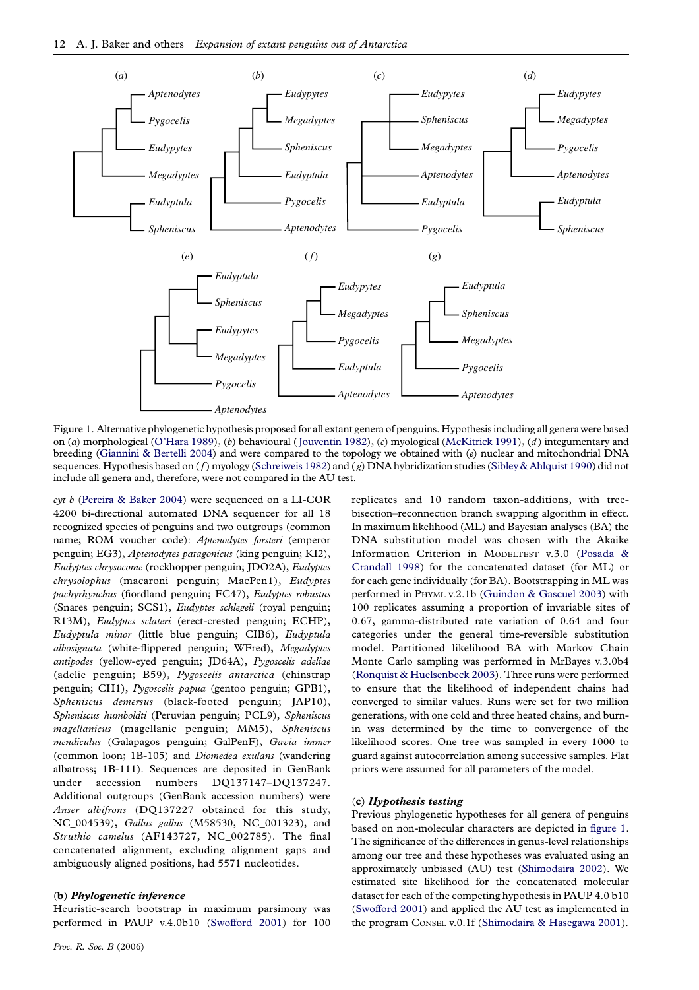<span id="page-1-0"></span>

Figure 1. Alternative phylogenetic hypothesis proposed for all extant genera of penguins. Hypothesis including all genera were based on (a) morphological [\(O'Hara 1989\)](#page-5-0), (b) behavioural ([Jouventin 1982](#page-5-0)), (c) myological [\(McKitrick 1991\)](#page-5-0), (d) integumentary and breeding ([Giannini & Bertelli 2004\)](#page-5-0) and were compared to the topology we obtained with (e) nuclear and mitochondrial DNA sequences. Hypothesis based on  $(f)$  myology [\(Schreiweis 1982](#page-5-0)) and  $(g)$  DNA hybridization studies [\(Sibley & Ahlquist 1990](#page-5-0)) did not include all genera and, therefore, were not compared in the AU test.

cyt  $b$  ([Pereira & Baker 2004\)](#page-5-0) were sequenced on a LI-COR 4200 bi-directional automated DNA sequencer for all 18 recognized species of penguins and two outgroups (common name; ROM voucher code): Aptenodytes forsteri (emperor penguin; EG3), Aptenodytes patagonicus (king penguin; KI2), Eudyptes chrysocome (rockhopper penguin; JDO2A), Eudyptes chrysolophus (macaroni penguin; MacPen1), Eudyptes pachyrhynchus (fiordland penguin; FC47), Eudyptes robustus (Snares penguin; SCS1), Eudyptes schlegeli (royal penguin; R13M), Eudyptes sclateri (erect-crested penguin; ECHP), Eudyptula minor (little blue penguin; CIB6), Eudyptula albosignata (white-flippered penguin; WFred), Megadyptes antipodes (yellow-eyed penguin; JD64A), Pygoscelis adeliae (adelie penguin; B59), Pygoscelis antarctica (chinstrap penguin; CH1), Pygoscelis papua (gentoo penguin; GPB1), Spheniscus demersus (black-footed penguin; JAP10), Spheniscus humboldti (Peruvian penguin; PCL9), Spheniscus magellanicus (magellanic penguin; MM5), Spheniscus mendiculus (Galapagos penguin; GalPenF), Gavia immer (common loon; 1B-105) and Diomedea exulans (wandering albatross; 1B-111). Sequences are deposited in GenBank under accession numbers DQ137147–DQ137247. Additional outgroups (GenBank accession numbers) were Anser albifrons (DQ137227 obtained for this study, NC\_004539), Gallus gallus (M58530, NC\_001323), and Struthio camelus (AF143727, NC\_002785). The final concatenated alignment, excluding alignment gaps and ambiguously aligned positions, had 5571 nucleotides.

#### (b) Phylogenetic inference

Heuristic-search bootstrap in maximum parsimony was performed in PAUP v.4.0b10 [\(Swofford 2001](#page-6-0)) for 100

Proc. R. Soc. B (2006)

replicates and 10 random taxon-additions, with treebisection–reconnection branch swapping algorithm in effect. In maximum likelihood (ML) and Bayesian analyses (BA) the DNA substitution model was chosen with the Akaike Information Criterion in MODELTEST v.3.0 ([Posada &](#page-5-0) [Crandall 1998\)](#page-5-0) for the concatenated dataset (for ML) or for each gene individually (for BA). Bootstrapping in ML was performed in PHYML v.2.1b ([Guindon & Gascuel 2003](#page-5-0)) with 100 replicates assuming a proportion of invariable sites of 0.67, gamma-distributed rate variation of 0.64 and four categories under the general time-reversible substitution model. Partitioned likelihood BA with Markov Chain Monte Carlo sampling was performed in MrBayes v.3.0b4 ([Ronquist & Huelsenbeck 2003](#page-5-0)). Three runs were performed to ensure that the likelihood of independent chains had converged to similar values. Runs were set for two million generations, with one cold and three heated chains, and burnin was determined by the time to convergence of the likelihood scores. One tree was sampled in every 1000 to guard against autocorrelation among successive samples. Flat priors were assumed for all parameters of the model.

#### (c) Hypothesis testing

Previous phylogenetic hypotheses for all genera of penguins based on non-molecular characters are depicted in figure 1. The significance of the differences in genus-level relationships among our tree and these hypotheses was evaluated using an approximately unbiased (AU) test [\(Shimodaira 2002](#page-5-0)). We estimated site likelihood for the concatenated molecular dataset for each of the competing hypothesis in PAUP 4.0 b10 ([Swofford 2001\)](#page-6-0) and applied the AU test as implemented in the program CONSEL v.0.1f [\(Shimodaira & Hasegawa 2001\)](#page-5-0).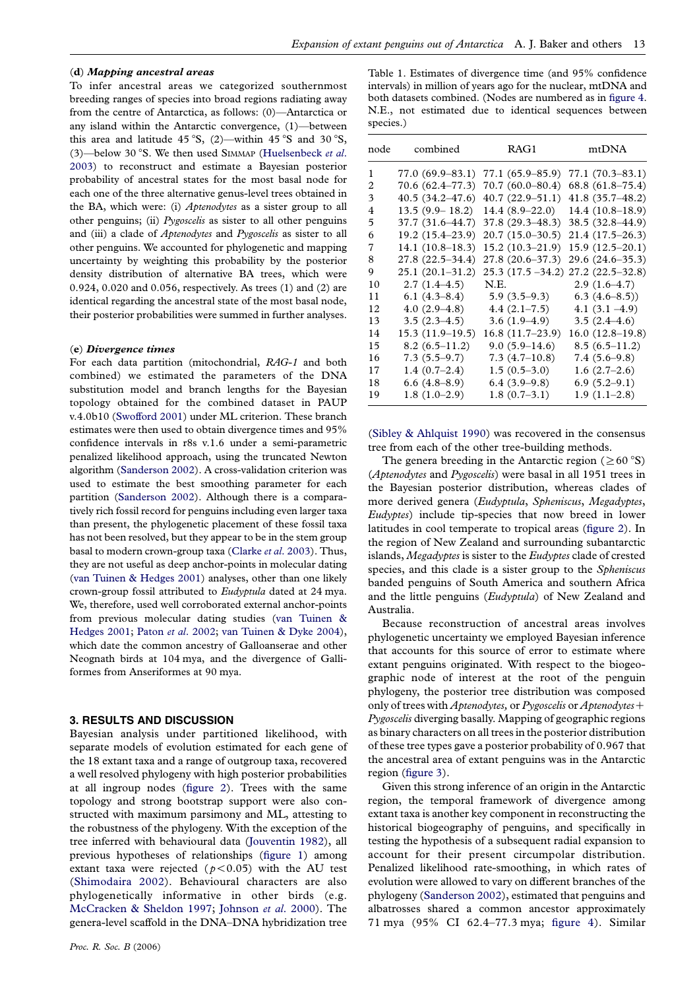#### <span id="page-2-0"></span>(d) Mapping ancestral areas

To infer ancestral areas we categorized southernmost breeding ranges of species into broad regions radiating away from the centre of Antarctica, as follows: (0)—Antarctica or any island within the Antarctic convergence, (1)—between this area and latitude 45 °S, (2)—within 45 °S and 30 °S, (3)—below 30 °S. We then used SIMMAP ([Huelsenbeck](#page-5-0) et al. [2003](#page-5-0)) to reconstruct and estimate a Bayesian posterior probability of ancestral states for the most basal node for each one of the three alternative genus-level trees obtained in the BA, which were: (i) Aptenodytes as a sister group to all other penguins; (ii) *Pygoscelis* as sister to all other penguins and (iii) a clade of *Aptenodytes* and *Pygoscelis* as sister to all other penguins. We accounted for phylogenetic and mapping uncertainty by weighting this probability by the posterior density distribution of alternative BA trees, which were 0.924, 0.020 and 0.056, respectively. As trees (1) and (2) are identical regarding the ancestral state of the most basal node, their posterior probabilities were summed in further analyses.

#### (e) Divergence times

For each data partition (mitochondrial, RAG-1 and both combined) we estimated the parameters of the DNA substitution model and branch lengths for the Bayesian topology obtained for the combined dataset in PAUP v.4.0b10 ([Swofford 2001\)](#page-6-0) under ML criterion. These branch estimates were then used to obtain divergence times and 95% confidence intervals in r8s v.1.6 under a semi-parametric penalized likelihood approach, using the truncated Newton algorithm ([Sanderson 2002\)](#page-5-0). A cross-validation criterion was used to estimate the best smoothing parameter for each partition ([Sanderson 2002\)](#page-5-0). Although there is a comparatively rich fossil record for penguins including even larger taxa than present, the phylogenetic placement of these fossil taxa has not been resolved, but they appear to be in the stem group basal to modern crown-group taxa [\(Clarke](#page-5-0) et al. 2003). Thus, they are not useful as deep anchor-points in molecular dating ([van Tuinen & Hedges 2001](#page-6-0)) analyses, other than one likely crown-group fossil attributed to Eudyptula dated at 24 mya. We, therefore, used well corroborated external anchor-points from previous molecular dating studies ([van Tuinen &](#page-6-0) [Hedges 2001](#page-6-0); Paton et al[. 2002](#page-5-0); [van Tuinen & Dyke 2004](#page-6-0)), which date the common ancestry of Galloanserae and other Neognath birds at 104 mya, and the divergence of Galliformes from Anseriformes at 90 mya.

## 3. RESULTS AND DISCUSSION

Bayesian analysis under partitioned likelihood, with separate models of evolution estimated for each gene of the 18 extant taxa and a range of outgroup taxa, recovered a well resolved phylogeny with high posterior probabilities at all ingroup nodes ([figure 2\)](#page-3-0). Trees with the same topology and strong bootstrap support were also constructed with maximum parsimony and ML, attesting to the robustness of the phylogeny. With the exception of the tree inferred with behavioural data [\(Jouventin 1982\)](#page-5-0), all previous hypotheses of relationships [\(figure 1](#page-1-0)) among extant taxa were rejected ( $p < 0.05$ ) with the AU test ([Shimodaira 2002\)](#page-5-0). Behavioural characters are also phylogenetically informative in other birds (e.g. [McCracken & Sheldon 1997;](#page-5-0) [Johnson](#page-5-0) et al. 2000). The genera-level scaffold in the DNA–DNA hybridization tree

|                                                             |  |  |  |  | Table 1. Estimates of divergence time (and 95% confidence     |  |  |
|-------------------------------------------------------------|--|--|--|--|---------------------------------------------------------------|--|--|
|                                                             |  |  |  |  | intervals) in million of years ago for the nuclear, mtDNA and |  |  |
| both datasets combined. (Nodes are numbered as in figure 4. |  |  |  |  |                                                               |  |  |
|                                                             |  |  |  |  | N.E., not estimated due to identical sequences between        |  |  |
| species.)                                                   |  |  |  |  |                                                               |  |  |

| node | combined            | RAG1                | mtDNA               |
|------|---------------------|---------------------|---------------------|
| 1    | 77.0 (69.9–83.1)    | $77.1(65.9 - 85.9)$ | $77.1(70.3 - 83.1)$ |
| 2    | $70.6(62.4 - 77.3)$ | $70.7(60.0 - 80.4)$ | $68.8(61.8-75.4)$   |
| 3    | $40.5(34.2 - 47.6)$ | $40.7(22.9-51.1)$   | $41.8(35.7 - 48.2)$ |
| 4    | $13.5(9.9-18.2)$    | $14.4(8.9-22.0)$    | $14.4(10.8-18.9)$   |
| 5    | 37.7 (31.6–44.7)    | 37.8 (29.3-48.3)    | 38.5 (32.8–44.9)    |
| 6    | $19.2(15.4-23.9)$   | $20.7(15.0-30.5)$   | $21.4(17.5-26.3)$   |
| 7    | $14.1(10.8-18.3)$   | $15.2(10.3-21.9)$   | $15.9(12.5-20.1)$   |
| 8    | 27.8 (22.5–34.4)    | 27.8 (20.6-37.3)    | 29.6 (24.6–35.3)    |
| 9    | $25.1(20.1-31.2)$   | $25.3(17.5 - 34.2)$ | 27.2 (22.5–32.8)    |
| 10   | $2.7(1.4-4.5)$      | N.E.                | $2.9(1.6-4.7)$      |
| 11   | $6.1(4.3-8.4)$      | $5.9(3.5-9.3)$      | $6.3(4.6-8.5))$     |
| 12   | $4.0(2.9-4.8)$      | $4.4(2.1-7.5)$      | 4.1 $(3.1 - 4.9)$   |
| 13   | $3.5(2.3-4.5)$      | $3.6(1.9-4.9)$      | $3.5(2.4-4.6)$      |
| 14   | $15.3(11.9-19.5)$   | $16.8(11.7-23.9)$   | $16.0(12.8-19.8)$   |
| 15   | $8.2(6.5-11.2)$     | $9.0(5.9-14.6)$     | $8.5(6.5-11.2)$     |
| 16   | $7.3(5.5-9.7)$      | $7.3(4.7-10.8)$     | $7.4(5.6-9.8)$      |
| 17   | $1.4(0.7-2.4)$      | $1.5(0.5-3.0)$      | $1.6(2.7-2.6)$      |
| 18   | 6.6(4.8–8.9)        | $6.4(3.9-9.8)$      | $6.9(5.2-9.1)$      |
| 19   | $1.8(1.0-2.9)$      | $1.8(0.7-3.1)$      | $1.9(1.1-2.8)$      |

([Sibley & Ahlquist 1990\)](#page-5-0) was recovered in the consensus tree from each of the other tree-building methods.

The genera breeding in the Antarctic region ( $\geq 60$  °S) (Aptenodytes and Pygoscelis) were basal in all 1951 trees in the Bayesian posterior distribution, whereas clades of more derived genera (Eudyptula, Spheniscus, Megadyptes, Eudyptes) include tip-species that now breed in lower latitudes in cool temperate to tropical areas [\(figure 2](#page-3-0)). In the region of New Zealand and surrounding subantarctic islands, Megadyptes is sister to the Eudyptes clade of crested species, and this clade is a sister group to the Spheniscus banded penguins of South America and southern Africa and the little penguins (Eudyptula) of New Zealand and Australia.

Because reconstruction of ancestral areas involves phylogenetic uncertainty we employed Bayesian inference that accounts for this source of error to estimate where extant penguins originated. With respect to the biogeographic node of interest at the root of the penguin phylogeny, the posterior tree distribution was composed only of trees with *Aptenodytes*, or *Pygoscelis* or *Aptenodytes* + Pygoscelis diverging basally. Mapping of geographic regions as binary characters on all trees in the posterior distribution of these tree types gave a posterior probability of 0.967 that the ancestral area of extant penguins was in the Antarctic region [\(figure 3](#page-3-0)).

Given this strong inference of an origin in the Antarctic region, the temporal framework of divergence among extant taxa is another key component in reconstructing the historical biogeography of penguins, and specifically in testing the hypothesis of a subsequent radial expansion to account for their present circumpolar distribution. Penalized likelihood rate-smoothing, in which rates of evolution were allowed to vary on different branches of the phylogeny ([Sanderson 2002\)](#page-5-0), estimated that penguins and albatrosses shared a common ancestor approximately 71 mya (95% CI 62.4–77.3 mya; [figure 4\)](#page-3-0). Similar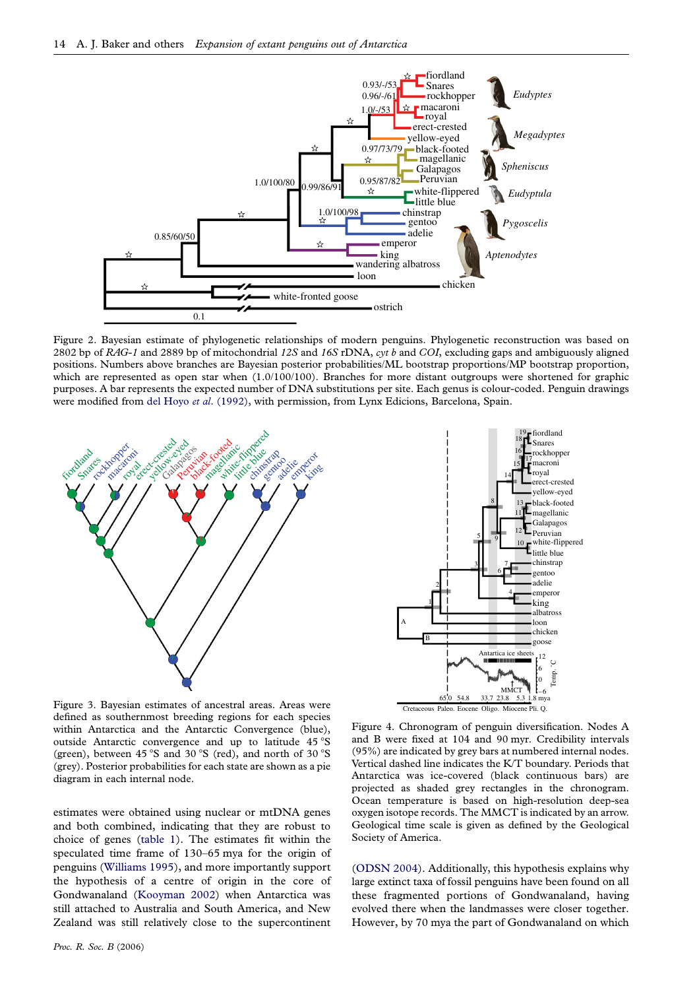<span id="page-3-0"></span>

Figure 2. Bayesian estimate of phylogenetic relationships of modern penguins. Phylogenetic reconstruction was based on 2802 bp of RAG-1 and 2889 bp of mitochondrial 12S and 16S rDNA, cyt b and COI, excluding gaps and ambiguously aligned positions. Numbers above branches are Bayesian posterior probabilities/ML bootstrap proportions/MP bootstrap proportion, which are represented as open star when  $(1.0/100/100)$ . Branches for more distant outgroups were shortened for graphic purposes. A bar represents the expected number of DNA substitutions per site. Each genus is colour-coded. Penguin drawings were modified from [del Hoyo](#page-5-0) et al. (1992), with permission, from Lynx Edicions, Barcelona, Spain.



Figure 3. Bayesian estimates of ancestral areas. Areas were defined as southernmost breeding regions for each species within Antarctica and the Antarctic Convergence (blue), outside Antarctic convergence and up to latitude 45 °S (green), between 45 °S and 30 °S (red), and north of 30 °S (grey). Posterior probabilities for each state are shown as a pie diagram in each internal node.

estimates were obtained using nuclear or mtDNA genes and both combined, indicating that they are robust to choice of genes ([table 1\)](#page-2-0). The estimates fit within the speculated time frame of 130–65 mya for the origin of penguins [\(Williams 1995](#page-6-0)), and more importantly support the hypothesis of a centre of origin in the core of Gondwanaland [\(Kooyman 2002](#page-5-0)) when Antarctica was still attached to Australia and South America, and New Zealand was still relatively close to the supercontinent



Cretaceous Paleo. Eocene Oligo. Miocene Pli. Q.

Figure 4. Chronogram of penguin diversification. Nodes A and B were fixed at 104 and 90 myr. Credibility intervals (95%) are indicated by grey bars at numbered internal nodes. Vertical dashed line indicates the K/T boundary. Periods that Antarctica was ice-covered (black continuous bars) are projected as shaded grey rectangles in the chronogram. Ocean temperature is based on high-resolution deep-sea oxygen isotope records. The MMCT is indicated by an arrow. Geological time scale is given as defined by the Geological Society of America.

[\(ODSN 2004\)](#page-5-0). Additionally, this hypothesis explains why large extinct taxa of fossil penguins have been found on all these fragmented portions of Gondwanaland, having evolved there when the landmasses were closer together. However, by 70 mya the part of Gondwanaland on which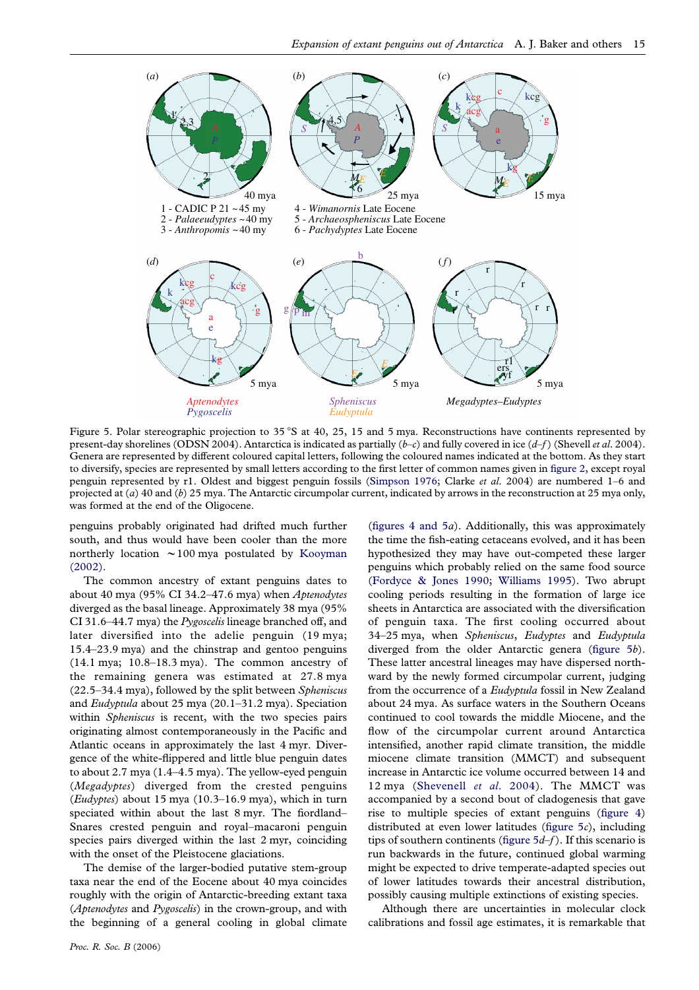

Figure 5. Polar stereographic projection to 35 °S at 40, 25, 15 and 5 mya. Reconstructions have continents represented by present-day shorelines (ODSN 2004). Antarctica is indicated as partially  $(b-c)$  and fully covered in ice  $(d-f)$  (Shevell et al. 2004). Genera are represented by different coloured capital letters, following the coloured names indicated at the bottom. As they start to diversify, species are represented by small letters according to the first letter of common names given in [figure 2](#page-3-0), except royal penguin represented by r1. Oldest and biggest penguin fossils ([Simpson 1976](#page-6-0); Clarke et al. 2004) are numbered 1–6 and projected at  $(a)$  40 and  $(b)$  25 mya. The Antarctic circumpolar current, indicated by arrows in the reconstruction at 25 mya only, was formed at the end of the Oligocene.

penguins probably originated had drifted much further south, and thus would have been cooler than the more northerly location  $\sim$  100 mya postulated by [Kooyman](#page-5-0) [\(2002\)](#page-5-0).

The common ancestry of extant penguins dates to about 40 mya (95% CI 34.2–47.6 mya) when Aptenodytes diverged as the basal lineage. Approximately 38 mya (95% CI 31.6–44.7 mya) the Pygoscelis lineage branched off, and later diversified into the adelie penguin (19 mya; 15.4–23.9 mya) and the chinstrap and gentoo penguins (14.1 mya; 10.8–18.3 mya). The common ancestry of the remaining genera was estimated at 27.8 mya (22.5–34.4 mya), followed by the split between Spheniscus and Eudyptula about 25 mya (20.1–31.2 mya). Speciation within Spheniscus is recent, with the two species pairs originating almost contemporaneously in the Pacific and Atlantic oceans in approximately the last 4 myr. Divergence of the white-flippered and little blue penguin dates to about 2.7 mya (1.4–4.5 mya). The yellow-eyed penguin (Megadyptes) diverged from the crested penguins (Eudyptes) about 15 mya (10.3–16.9 mya), which in turn speciated within about the last 8 myr. The fiordland– Snares crested penguin and royal–macaroni penguin species pairs diverged within the last 2 myr, coinciding with the onset of the Pleistocene glaciations.

The demise of the larger-bodied putative stem-group taxa near the end of the Eocene about 40 mya coincides roughly with the origin of Antarctic-breeding extant taxa (Aptenodytes and Pygoscelis) in the crown-group, and with the beginning of a general cooling in global climate

([figures 4 and 5](#page-3-0)a). Additionally, this was approximately the time the fish-eating cetaceans evolved, and it has been hypothesized they may have out-competed these larger penguins which probably relied on the same food source ([Fordyce & Jones 1990](#page-5-0); [Williams 1995\)](#page-6-0). Two abrupt cooling periods resulting in the formation of large ice sheets in Antarctica are associated with the diversification of penguin taxa. The first cooling occurred about 34–25 mya, when Spheniscus, Eudyptes and Eudyptula diverged from the older Antarctic genera (figure 5b). These latter ancestral lineages may have dispersed northward by the newly formed circumpolar current, judging from the occurrence of a Eudyptula fossil in New Zealand about 24 mya. As surface waters in the Southern Oceans continued to cool towards the middle Miocene, and the flow of the circumpolar current around Antarctica intensified, another rapid climate transition, the middle miocene climate transition (MMCT) and subsequent increase in Antarctic ice volume occurred between 14 and 12 mya ([Shevenell](#page-5-0) et al. 2004). The MMCT was accompanied by a second bout of cladogenesis that gave rise to multiple species of extant penguins ([figure 4\)](#page-3-0) distributed at even lower latitudes (figure 5c), including tips of southern continents (figure  $5d-f$ ). If this scenario is run backwards in the future, continued global warming might be expected to drive temperate-adapted species out of lower latitudes towards their ancestral distribution, possibly causing multiple extinctions of existing species.

Although there are uncertainties in molecular clock calibrations and fossil age estimates, it is remarkable that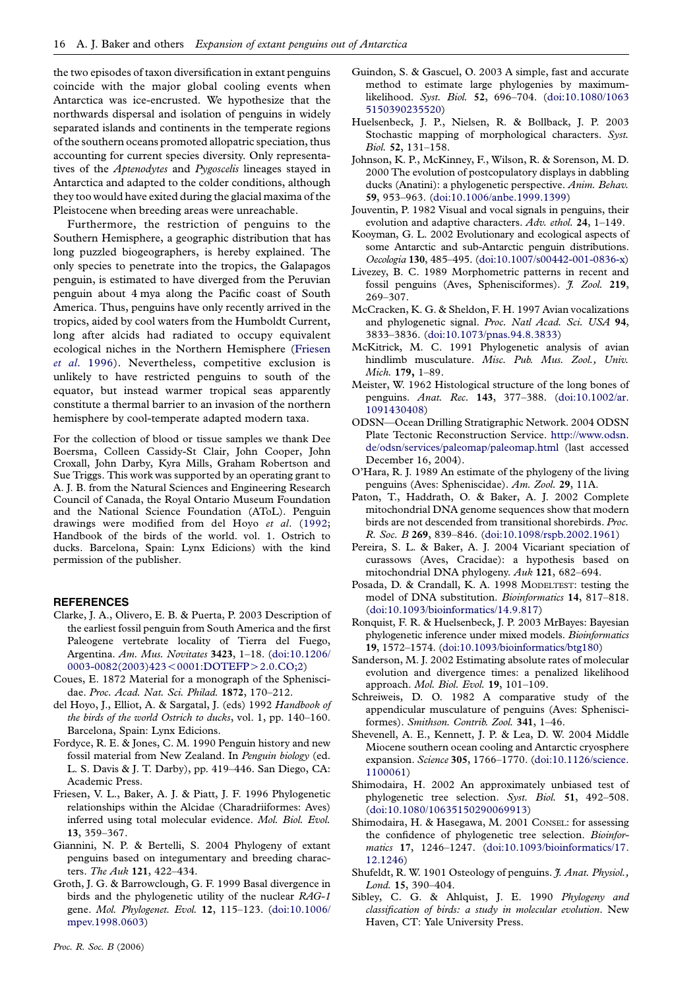<span id="page-5-0"></span>the two episodes of taxon diversification in extant penguins coincide with the major global cooling events when Antarctica was ice-encrusted. We hypothesize that the northwards dispersal and isolation of penguins in widely separated islands and continents in the temperate regions of the southern oceans promoted allopatric speciation, thus accounting for current species diversity. Only representatives of the Aptenodytes and Pygoscelis lineages stayed in Antarctica and adapted to the colder conditions, although they too would have exited during the glacial maxima of the Pleistocene when breeding areas were unreachable.

Furthermore, the restriction of penguins to the Southern Hemisphere, a geographic distribution that has long puzzled biogeographers, is hereby explained. The only species to penetrate into the tropics, the Galapagos penguin, is estimated to have diverged from the Peruvian penguin about 4 mya along the Pacific coast of South America. Thus, penguins have only recently arrived in the tropics, aided by cool waters from the Humboldt Current, long after alcids had radiated to occupy equivalent ecological niches in the Northern Hemisphere (Friesen et al. 1996). Nevertheless, competitive exclusion is unlikely to have restricted penguins to south of the equator, but instead warmer tropical seas apparently constitute a thermal barrier to an invasion of the northern hemisphere by cool-temperate adapted modern taxa.

For the collection of blood or tissue samples we thank Dee Boersma, Colleen Cassidy-St Clair, John Cooper, John Croxall, John Darby, Kyra Mills, Graham Robertson and Sue Triggs. This work was supported by an operating grant to A. J. B. from the Natural Sciences and Engineering Research Council of Canada, the Royal Ontario Museum Foundation and the National Science Foundation (AToL). Penguin drawings were modified from del Hoyo et al. (1992; Handbook of the birds of the world. vol. 1. Ostrich to ducks. Barcelona, Spain: Lynx Edicions) with the kind permission of the publisher.

## **REFERENCES**

- Clarke, J. A., Olivero, E. B. & Puerta, P. 2003 Description of the earliest fossil penguin from South America and the first Paleogene vertebrate locality of Tierra del Fuego, Argentina. Am. Mus. Novitates 3423, 1–18. ([doi:10.1206/](http://dx.doi.org/doi:10.1206/0003-0082(2003)423%3C0001:DOTEFP%3E2.0.CO;2)  $0003 - 0082(2003)423 < 0001$ :DOTEFP $> 2.0$ .CO:2)
- Coues, E. 1872 Material for a monograph of the Spheniscidae. Proc. Acad. Nat. Sci. Philad. 1872, 170–212.
- del Hoyo, J., Elliot, A. & Sargatal, J. (eds) 1992 Handbook of the birds of the world Ostrich to ducks, vol. 1, pp. 140–160. Barcelona, Spain: Lynx Edicions.
- Fordyce, R. E. & Jones, C. M. 1990 Penguin history and new fossil material from New Zealand. In Penguin biology (ed. L. S. Davis & J. T. Darby), pp. 419–446. San Diego, CA: Academic Press.
- Friesen, V. L., Baker, A. J. & Piatt, J. F. 1996 Phylogenetic relationships within the Alcidae (Charadriiformes: Aves) inferred using total molecular evidence. Mol. Biol. Evol. 13, 359–367.
- Giannini, N. P. & Bertelli, S. 2004 Phylogeny of extant penguins based on integumentary and breeding characters. The Auk 121, 422-434.
- Groth, J. G. & Barrowclough, G. F. 1999 Basal divergence in birds and the phylogenetic utility of the nuclear RAG-1 gene. Mol. Phylogenet. Evol. 12, 115-123. ([doi:10.1006/](http://dx.doi.org/doi:10.1006/mpev.1998.0603) [mpev.1998.0603\)](http://dx.doi.org/doi:10.1006/mpev.1998.0603)
- Guindon, S. & Gascuel, O. 2003 A simple, fast and accurate method to estimate large phylogenies by maximumlikelihood. Syst. Biol. 52, 696–704. ([doi:10.1080/1063](http://dx.doi.org/doi:10.1080/10635150390235520) [5150390235520\)](http://dx.doi.org/doi:10.1080/10635150390235520)
- Huelsenbeck, J. P., Nielsen, R. & Bollback, J. P. 2003 Stochastic mapping of morphological characters. Syst. Biol. 52, 131–158.
- Johnson, K. P., McKinney, F., Wilson, R. & Sorenson, M. D. 2000 The evolution of postcopulatory displays in dabbling ducks (Anatini): a phylogenetic perspective. Anim. Behav. 59, 953–963. ([doi:10.1006/anbe.1999.1399](http://dx.doi.org/doi:10.1006/anbe.1999.1399))
- Jouventin, P. 1982 Visual and vocal signals in penguins, their evolution and adaptive characters. Adv. ethol. 24, 1–149.
- Kooyman, G. L. 2002 Evolutionary and ecological aspects of some Antarctic and sub-Antarctic penguin distributions. Oecologia 130, 485–495. ([doi:10.1007/s00442-001-0836-x\)](http://dx.doi.org/doi:10.1007/s00442-001-0836-x)
- Livezey, B. C. 1989 Morphometric patterns in recent and fossil penguins (Aves, Sphenisciformes). *J. Zool.* 219, 269–307.
- McCracken, K. G. & Sheldon, F. H. 1997 Avian vocalizations and phylogenetic signal. Proc. Natl Acad. Sci. USA 94, 3833–3836. [\(doi:10.1073/pnas.94.8.3833](http://dx.doi.org/doi:10.1073/pnas.94.8.3833))
- McKitrick, M. C. 1991 Phylogenetic analysis of avian hindlimb musculature. Misc. Pub. Mus. Zool., Univ. Mich. 179, 1–89.
- Meister, W. 1962 Histological structure of the long bones of penguins. Anat. Rec. 143, 377–388. [\(doi:10.1002/ar.](http://dx.doi.org/doi:10.1002/ar.1091430408) [1091430408\)](http://dx.doi.org/doi:10.1002/ar.1091430408)
- ODSN—Ocean Drilling Stratigraphic Network. 2004 ODSN Plate Tectonic Reconstruction Service. [http://www.odsn.](http://www.odsn.de/odsn/services/paleomap/paleomap.html) [de/odsn/services/paleomap/paleomap.html](http://www.odsn.de/odsn/services/paleomap/paleomap.html) (last accessed December 16, 2004).
- O'Hara, R. J. 1989 An estimate of the phylogeny of the living penguins (Aves: Spheniscidae). Am. Zool. 29, 11A.
- Paton, T., Haddrath, O. & Baker, A. J. 2002 Complete mitochondrial DNA genome sequences show that modern birds are not descended from transitional shorebirds. Proc. R. Soc. B 269, 839–846. ([doi:10.1098/rspb.2002.1961](http://dx.doi.org/doi:10.1098/rspb.2002.1961))
- Pereira, S. L. & Baker, A. J. 2004 Vicariant speciation of curassows (Aves, Cracidae): a hypothesis based on mitochondrial DNA phylogeny. Auk 121, 682–694.
- Posada, D. & Crandall, K. A. 1998 MODELTEST: testing the model of DNA substitution. Bioinformatics 14, 817-818. ([doi:10.1093/bioinformatics/14.9.817](http://dx.doi.org/doi:10.1093/bioinformatics/14.9.817))
- Ronquist, F. R. & Huelsenbeck, J. P. 2003 MrBayes: Bayesian phylogenetic inference under mixed models. Bioinformatics 19, 1572–1574. ([doi:10.1093/bioinformatics/btg180\)](http://dx.doi.org/doi:10.1093/bioinformatics/btg180)
- Sanderson, M. J. 2002 Estimating absolute rates of molecular evolution and divergence times: a penalized likelihood approach. Mol. Biol. Evol. 19, 101–109.
- Schreiweis, D. O. 1982 A comparative study of the appendicular musculature of penguins (Aves: Sphenisciformes). Smithson. Contrib. Zool. 341, 1–46.
- Shevenell, A. E., Kennett, J. P. & Lea, D. W. 2004 Middle Miocene southern ocean cooling and Antarctic cryosphere expansion. Science 305, 1766–1770. [\(doi:10.1126/science.](http://dx.doi.org/doi:10.1126/science.1100061) [1100061\)](http://dx.doi.org/doi:10.1126/science.1100061)
- Shimodaira, H. 2002 An approximately unbiased test of phylogenetic tree selection. Syst. Biol. 51, 492–508. ([doi:10.1080/10635150290069913\)](http://dx.doi.org/doi:10.1080/10635150290069913)
- Shimodaira, H. & Hasegawa, M. 2001 CONSEL: for assessing the confidence of phylogenetic tree selection. Bioinformatics 17, 1246–1247. [\(doi:10.1093/bioinformatics/17.](http://dx.doi.org/doi:10.1093/bioinformatics/17.12.1246) [12.1246\)](http://dx.doi.org/doi:10.1093/bioinformatics/17.12.1246)
- Shufeldt, R. W. 1901 Osteology of penguins. J. Anat. Physiol., Lond. 15, 390–404.
- Sibley, C. G. & Ahlquist, J. E. 1990 Phylogeny and classification of birds: a study in molecular evolution. New Haven, CT: Yale University Press.